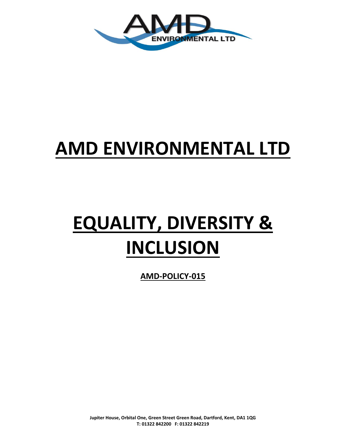

# **AMD ENVIRONMENTAL LTD**

# **EQUALITY, DIVERSITY & INCLUSION**

**AMD-POLICY-015**

**Jupiter House, Orbital One, Green Street Green Road, Dartford, Kent, DA1 1QG T: 01322 842200 F: 01322 842219**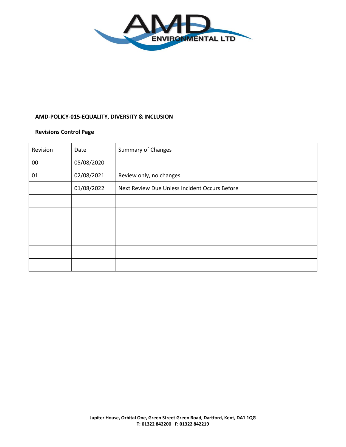

# **AMD-POLICY-015-EQUALITY, DIVERSITY & INCLUSION**

# **Revisions Control Page**

| Revision | Date       | <b>Summary of Changes</b>                     |
|----------|------------|-----------------------------------------------|
| $00\,$   | 05/08/2020 |                                               |
| 01       | 02/08/2021 | Review only, no changes                       |
|          | 01/08/2022 | Next Review Due Unless Incident Occurs Before |
|          |            |                                               |
|          |            |                                               |
|          |            |                                               |
|          |            |                                               |
|          |            |                                               |
|          |            |                                               |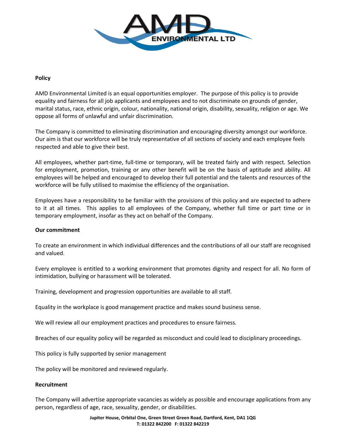

#### **Policy**

AMD Environmental Limited is an equal opportunities employer. The purpose of this policy is to provide equality and fairness for all job applicants and employees and to not discriminate on grounds of gender, marital status, race, ethnic origin, colour, nationality, national origin, disability, sexuality, religion or age. We oppose all forms of unlawful and unfair discrimination.

The Company is committed to eliminating discrimination and encouraging diversity amongst our workforce. Our aim is that our workforce will be truly representative of all sections of society and each employee feels respected and able to give their best.

All employees, whether part-time, full-time or temporary, will be treated fairly and with respect. Selection for employment, promotion, training or any other benefit will be on the basis of aptitude and ability. All employees will be helped and encouraged to develop their full potential and the talents and resources of the workforce will be fully utilised to maximise the efficiency of the organisation.

Employees have a responsibility to be familiar with the provisions of this policy and are expected to adhere to it at all times. This applies to all employees of the Company, whether full time or part time or in temporary employment, insofar as they act on behalf of the Company.

#### **Our commitment**

To create an environment in which individual differences and the contributions of all our staff are recognised and valued.

Every employee is entitled to a working environment that promotes dignity and respect for all. No form of intimidation, bullying or harassment will be tolerated.

Training, development and progression opportunities are available to all staff.

Equality in the workplace is good management practice and makes sound business sense.

We will review all our employment practices and procedures to ensure fairness.

Breaches of our equality policy will be regarded as misconduct and could lead to disciplinary proceedings.

This policy is fully supported by senior management

The policy will be monitored and reviewed regularly.

#### **Recruitment**

The Company will advertise appropriate vacancies as widely as possible and encourage applications from any person, regardless of age, race, sexuality, gender, or disabilities.

> **Jupiter House, Orbital One, Green Street Green Road, Dartford, Kent, DA1 1QG T: 01322 842200 F: 01322 842219**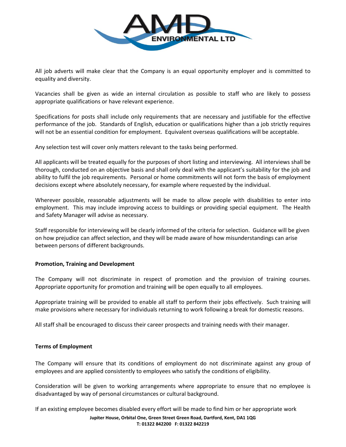

All job adverts will make clear that the Company is an equal opportunity employer and is committed to equality and diversity.

Vacancies shall be given as wide an internal circulation as possible to staff who are likely to possess appropriate qualifications or have relevant experience.

Specifications for posts shall include only requirements that are necessary and justifiable for the effective performance of the job. Standards of English, education or qualifications higher than a job strictly requires will not be an essential condition for employment. Equivalent overseas qualifications will be acceptable.

Any selection test will cover only matters relevant to the tasks being performed.

All applicants will be treated equally for the purposes of short listing and interviewing. All interviews shall be thorough, conducted on an objective basis and shall only deal with the applicant's suitability for the job and ability to fulfil the job requirements. Personal or home commitments will not form the basis of employment decisions except where absolutely necessary, for example where requested by the individual.

Wherever possible, reasonable adjustments will be made to allow people with disabilities to enter into employment. This may include improving access to buildings or providing special equipment. The Health and Safety Manager will advise as necessary.

Staff responsible for interviewing will be clearly informed of the criteria for selection. Guidance will be given on how prejudice can affect selection, and they will be made aware of how misunderstandings can arise between persons of different backgrounds.

#### **Promotion, Training and Development**

The Company will not discriminate in respect of promotion and the provision of training courses. Appropriate opportunity for promotion and training will be open equally to all employees.

Appropriate training will be provided to enable all staff to perform their jobs effectively. Such training will make provisions where necessary for individuals returning to work following a break for domestic reasons.

All staff shall be encouraged to discuss their career prospects and training needs with their manager.

#### **Terms of Employment**

The Company will ensure that its conditions of employment do not discriminate against any group of employees and are applied consistently to employees who satisfy the conditions of eligibility.

Consideration will be given to working arrangements where appropriate to ensure that no employee is disadvantaged by way of personal circumstances or cultural background.

If an existing employee becomes disabled every effort will be made to find him or her appropriate work

**Jupiter House, Orbital One, Green Street Green Road, Dartford, Kent, DA1 1QG T: 01322 842200 F: 01322 842219**